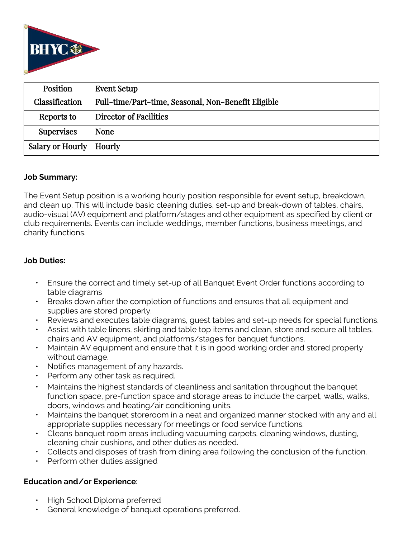

| <b>Position</b>           | <b>Event Setup</b>                                  |
|---------------------------|-----------------------------------------------------|
| Classification            | Full-time/Part-time, Seasonal, Non-Benefit Eligible |
| Reports to                | Director of Facilities                              |
| <b>Supervises</b>         | <b>None</b>                                         |
| Salary or Hourly   Hourly |                                                     |

### **Job Summary:**

The Event Setup position is a working hourly position responsible for event setup, breakdown, and clean up. This will include basic cleaning duties, set-up and break-down of tables, chairs, audio-visual (AV) equipment and platform/stages and other equipment as specified by client or club requirements. Events can include weddings, member functions, business meetings, and charity functions.

### **Job Duties:**

- Ensure the correct and timely set-up of all Banquet Event Order functions according to table diagrams
- Breaks down after the completion of functions and ensures that all equipment and supplies are stored properly.
- Reviews and executes table diagrams, guest tables and set-up needs for special functions.
- Assist with table linens, skirting and table top items and clean, store and secure all tables, chairs and AV equipment, and platforms/stages for banquet functions.
- Maintain AV equipment and ensure that it is in good working order and stored properly without damage.
- Notifies management of any hazards.
- Perform any other task as required.
- Maintains the highest standards of cleanliness and sanitation throughout the banquet function space, pre-function space and storage areas to include the carpet, walls, walks, doors, windows and heating/air conditioning units.
- Maintains the banquet storeroom in a neat and organized manner stocked with any and all appropriate supplies necessary for meetings or food service functions.
- Cleans banquet room areas including vacuuming carpets, cleaning windows, dusting, cleaning chair cushions, and other duties as needed.
- Collects and disposes of trash from dining area following the conclusion of the function.
- Perform other duties assigned

## **Education and/or Experience:**

- High School Diploma preferred
- General knowledge of banquet operations preferred.